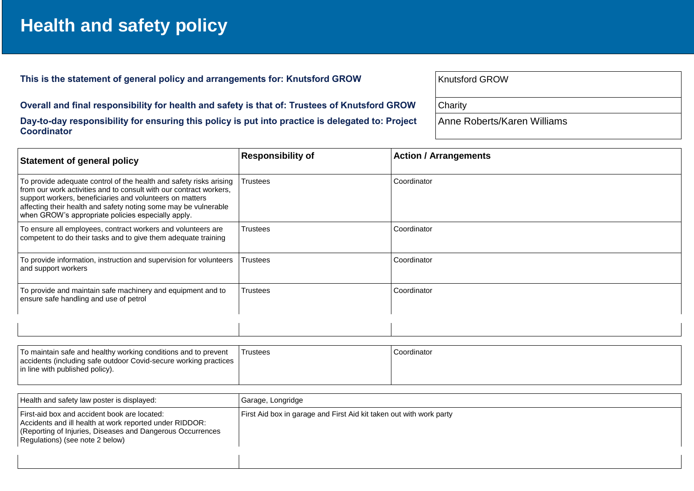## **Health and safety policy**

This is the statement of general policy and arrangements for: Knutsford GROW

**Overall and final responsibility for health and safety is that of: Trustees of Knutsford GROW Day-to-day responsibility for ensuring this policy is put into practice is delegated to: Project Coordinator**

| <b>Knutsford GROW</b>       |  |
|-----------------------------|--|
| Charity                     |  |
| Anne Roberts/Karen Williams |  |

| <b>Statement of general policy</b>                                                                                                                                                                                                                                                                                            | <b>Responsibility of</b> | <b>Action / Arrangements</b> |
|-------------------------------------------------------------------------------------------------------------------------------------------------------------------------------------------------------------------------------------------------------------------------------------------------------------------------------|--------------------------|------------------------------|
| To provide adequate control of the health and safety risks arising<br>from our work activities and to consult with our contract workers,<br>support workers, beneficiaries and volunteers on matters<br>affecting their health and safety noting some may be vulnerable<br>when GROW's appropriate policies especially apply. | <b>Trustees</b>          | Coordinator                  |
| To ensure all employees, contract workers and volunteers are<br>competent to do their tasks and to give them adequate training                                                                                                                                                                                                | <b>Trustees</b>          | Coordinator                  |
| To provide information, instruction and supervision for volunteers<br>and support workers                                                                                                                                                                                                                                     | Trustees                 | Coordinator                  |
| To provide and maintain safe machinery and equipment and to<br>ensure safe handling and use of petrol                                                                                                                                                                                                                         | <b>Trustees</b>          | Coordinator                  |
|                                                                                                                                                                                                                                                                                                                               |                          |                              |

| To maintain safe and healthy working conditions and to prevent   | Trustees | Coordinator |
|------------------------------------------------------------------|----------|-------------|
| accidents (including safe outdoor Covid-secure working practices |          |             |
| in line with published policy).                                  |          |             |
|                                                                  |          |             |

| Health and safety law poster is displayed:                                                                                                                                                               | Garage, Longridge                                                   |
|----------------------------------------------------------------------------------------------------------------------------------------------------------------------------------------------------------|---------------------------------------------------------------------|
| First-aid box and accident book are located:<br>Accidents and ill health at work reported under RIDDOR:<br>(Reporting of Injuries, Diseases and Dangerous Occurrences<br>Regulations) (see note 2 below) | First Aid box in garage and First Aid kit taken out with work party |
|                                                                                                                                                                                                          |                                                                     |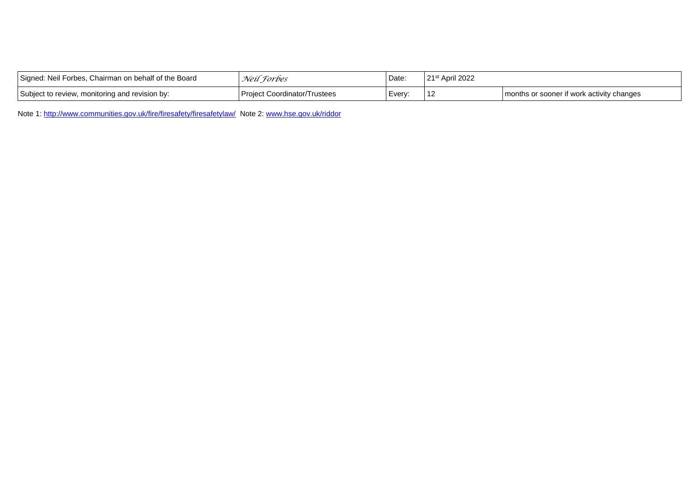| Signed: Neil Forbes, Chairman on behalf of the Board | Neil Forbes                         | Date.  | $21st$ April 2022 |                                           |
|------------------------------------------------------|-------------------------------------|--------|-------------------|-------------------------------------------|
| Subject to review, monitoring and revision by:       | <b>Project Coordinator/Trustees</b> | Every: | 12                | months or sooner if work activity changes |

Note 1: <http://www.communities.gov.uk/fire/firesafety/firesafetylaw/>Note 2[: www.hse.gov.uk/riddor](http://www.hse.gov.uk/riddor)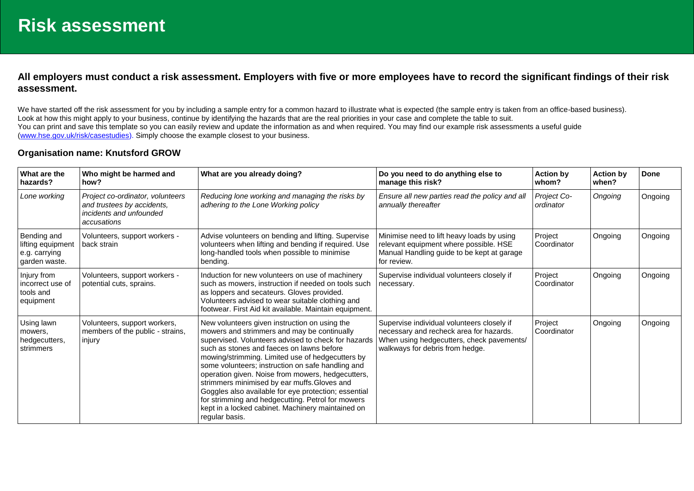## **All employers must conduct a risk assessment. Employers with five or more employees have to record the significant findings of their risk assessment.**

We have started off the risk assessment for you by including a sample entry for a common hazard to illustrate what is expected (the sample entry is taken from an office-based business). Look at how this might apply to your business, continue by identifying the hazards that are the real priorities in your case and complete the table to suit. You can print and save this template so you can easily review and update the information as and when required. You may find our example risk assessments a useful guide [\(www.hse.gov.uk/risk/casestudies\)](http://www.hse.gov.uk/risk/casestudies). Simply choose the example closest to your business.

## **Organisation name: Knutsford GROW**

| What are the<br>hazards?                                           | Who might be harmed and<br>how?                                                                          | What are you already doing?                                                                                                                                                                                                                                                                                                                                                                                                                                                                                                                                                                        | Do you need to do anything else to<br>manage this risk?                                                                                                               | <b>Action by</b><br>whom? | <b>Action by</b><br>when? | <b>Done</b> |
|--------------------------------------------------------------------|----------------------------------------------------------------------------------------------------------|----------------------------------------------------------------------------------------------------------------------------------------------------------------------------------------------------------------------------------------------------------------------------------------------------------------------------------------------------------------------------------------------------------------------------------------------------------------------------------------------------------------------------------------------------------------------------------------------------|-----------------------------------------------------------------------------------------------------------------------------------------------------------------------|---------------------------|---------------------------|-------------|
| Lone working                                                       | Project co-ordinator, volunteers<br>and trustees by accidents,<br>incidents and unfounded<br>accusations | Reducing lone working and managing the risks by<br>adhering to the Lone Working policy                                                                                                                                                                                                                                                                                                                                                                                                                                                                                                             | Ensure all new parties read the policy and all<br>annually thereafter                                                                                                 | Project Co-<br>ordinator  | Ongoing                   | Ongoing     |
| Bending and<br>lifting equipment<br>e.g. carrying<br>garden waste. | Volunteers, support workers -<br>back strain                                                             | Advise volunteers on bending and lifting. Supervise<br>volunteers when lifting and bending if required. Use<br>long-handled tools when possible to minimise<br>bending.                                                                                                                                                                                                                                                                                                                                                                                                                            | Minimise need to lift heavy loads by using<br>relevant equipment where possible. HSE<br>Manual Handling guide to be kept at garage<br>for review.                     | Project<br>Coordinator    | Ongoing                   | Ongoing     |
| Injury from<br>Incorrect use of<br>tools and<br>equipment          | Volunteers, support workers -<br>potential cuts, sprains.                                                | Induction for new volunteers on use of machinery<br>such as mowers, instruction if needed on tools such<br>as loppers and secateurs. Gloves provided.<br>Volunteers advised to wear suitable clothing and<br>footwear. First Aid kit available. Maintain equipment.                                                                                                                                                                                                                                                                                                                                | Supervise individual volunteers closely if<br>necessary.                                                                                                              | Project<br>Coordinator    | Ongoing                   | Ongoing     |
| Using lawn<br>mowers,<br>hedgecutters,<br>strimmers                | Volunteers, support workers,<br>members of the public - strains,<br>injury                               | New volunteers given instruction on using the<br>mowers and strimmers and may be continually<br>supervised. Volunteers advised to check for hazards<br>such as stones and faeces on lawns before<br>mowing/strimming. Limited use of hedgecutters by<br>some volunteers; instruction on safe handling and<br>operation given. Noise from mowers, hedgecutters,<br>strimmers minimised by ear muffs. Gloves and<br>Goggles also available for eye protection; essential<br>for strimming and hedgecutting. Petrol for mowers<br>kept in a locked cabinet. Machinery maintained on<br>regular basis. | Supervise individual volunteers closely if<br>necessary and recheck area for hazards.<br>When using hedgecutters, check pavements/<br>walkways for debris from hedge. | Project<br>Coordinator    | Ongoing                   | Ongoing     |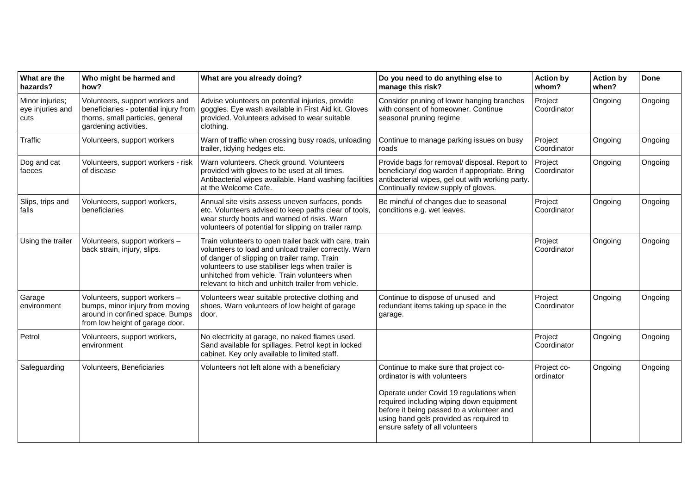| What are the<br>hazards?                    | Who might be harmed and<br>how?                                                                                                        | What are you already doing?                                                                                                                                                                                                                                                                                                  | Do you need to do anything else to<br>manage this risk?                                                                                                                                                                                                                                  | <b>Action by</b><br>whom? | <b>Action by</b><br>when? | <b>Done</b> |
|---------------------------------------------|----------------------------------------------------------------------------------------------------------------------------------------|------------------------------------------------------------------------------------------------------------------------------------------------------------------------------------------------------------------------------------------------------------------------------------------------------------------------------|------------------------------------------------------------------------------------------------------------------------------------------------------------------------------------------------------------------------------------------------------------------------------------------|---------------------------|---------------------------|-------------|
| Minor injuries;<br>eye injuries and<br>cuts | Volunteers, support workers and<br>beneficiaries - potential injury from<br>thorns, small particles, general<br>gardening activities.  | Advise volunteers on potential injuries, provide<br>goggles. Eye wash available in First Aid kit. Gloves<br>provided. Volunteers advised to wear suitable<br>clothing.                                                                                                                                                       | Consider pruning of lower hanging branches<br>with consent of homeowner. Continue<br>seasonal pruning regime                                                                                                                                                                             | Project<br>Coordinator    | Ongoing                   | Ongoing     |
| Traffic                                     | Volunteers, support workers                                                                                                            | Warn of traffic when crossing busy roads, unloading<br>trailer, tidying hedges etc.                                                                                                                                                                                                                                          | Continue to manage parking issues on busy<br>roads                                                                                                                                                                                                                                       | Project<br>Coordinator    | Ongoing                   | Ongoing     |
| Dog and cat<br>faeces                       | Volunteers, support workers - risk<br>of disease                                                                                       | Warn volunteers. Check ground. Volunteers<br>provided with gloves to be used at all times.<br>Antibacterial wipes available. Hand washing facilities<br>at the Welcome Cafe.                                                                                                                                                 | Provide bags for removal/ disposal. Report to<br>beneficiary/ dog warden if appropriate. Bring<br>antibacterial wipes, gel out with working party.<br>Continually review supply of gloves.                                                                                               | Project<br>Coordinator    | Ongoing                   | Ongoing     |
| Slips, trips and<br>falls                   | Volunteers, support workers,<br>beneficiaries                                                                                          | Annual site visits assess uneven surfaces, ponds<br>etc. Volunteers advised to keep paths clear of tools,<br>wear sturdy boots and warned of risks. Warn<br>volunteers of potential for slipping on trailer ramp.                                                                                                            | Be mindful of changes due to seasonal<br>conditions e.g. wet leaves.                                                                                                                                                                                                                     | Project<br>Coordinator    | Ongoing                   | Ongoing     |
| Using the trailer                           | Volunteers, support workers -<br>back strain, injury, slips.                                                                           | Train volunteers to open trailer back with care, train<br>volunteers to load and unload trailer correctly. Warn<br>of danger of slipping on trailer ramp. Train<br>volunteers to use stabiliser legs when trailer is<br>unhitched from vehicle. Train volunteers when<br>relevant to hitch and unhitch trailer from vehicle. |                                                                                                                                                                                                                                                                                          | Project<br>Coordinator    | Ongoing                   | Ongoing     |
| Garage<br>environment                       | Volunteers, support workers -<br>bumps, minor injury from moving<br>around in confined space. Bumps<br>from low height of garage door. | Volunteers wear suitable protective clothing and<br>shoes. Warn volunteers of low height of garage<br>door.                                                                                                                                                                                                                  | Continue to dispose of unused and<br>redundant items taking up space in the<br>garage.                                                                                                                                                                                                   | Project<br>Coordinator    | Ongoing                   | Ongoing     |
| Petrol                                      | Volunteers, support workers,<br>environment                                                                                            | No electricity at garage, no naked flames used.<br>Sand available for spillages. Petrol kept in locked<br>cabinet. Key only available to limited staff.                                                                                                                                                                      |                                                                                                                                                                                                                                                                                          | Project<br>Coordinator    | Ongoing                   | Ongoing     |
| Safeguarding                                | Volunteers, Beneficiaries                                                                                                              | Volunteers not left alone with a beneficiary                                                                                                                                                                                                                                                                                 | Continue to make sure that project co-<br>ordinator is with volunteers<br>Operate under Covid 19 regulations when<br>required including wiping down equipment<br>before it being passed to a volunteer and<br>using hand gels provided as required to<br>ensure safety of all volunteers | Project co-<br>ordinator  | Ongoing                   | Ongoing     |